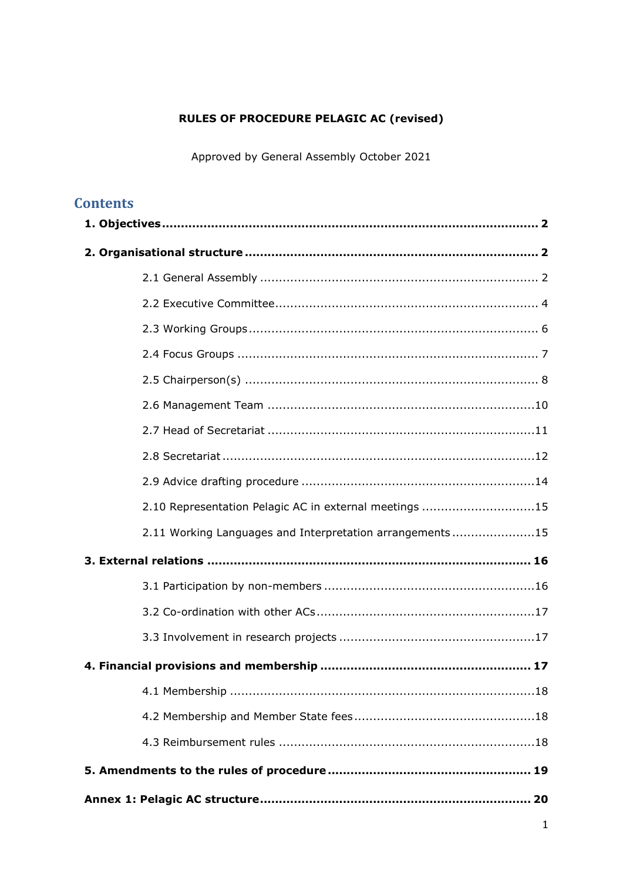# **RULES OF PROCEDURE PELAGIC AC (revised)**

Approved by General Assembly October 2021

# **Contents**

| 2.10 Representation Pelagic AC in external meetings 15   |
|----------------------------------------------------------|
| 2.11 Working Languages and Interpretation arrangements15 |
|                                                          |
|                                                          |
|                                                          |
|                                                          |
|                                                          |
|                                                          |
|                                                          |
|                                                          |
|                                                          |
|                                                          |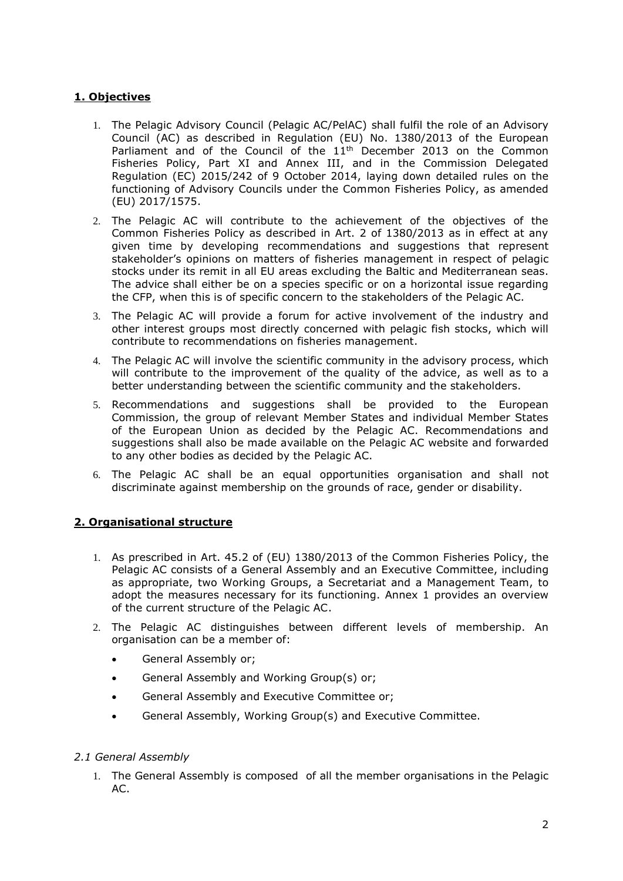# <span id="page-1-0"></span>**1. Objectives**

- 1. The Pelagic Advisory Council (Pelagic AC/PelAC) shall fulfil the role of an Advisory Council (AC) as described in Regulation (EU) No. 1380/2013 of the European Parliament and of the Council of the 11<sup>th</sup> December 2013 on the Common Fisheries Policy, Part XI and Annex III, and in the Commission Delegated Regulation (EC) 2015/242 of 9 October 2014, laying down detailed rules on the functioning of Advisory Councils under the Common Fisheries Policy, as amended (EU) 2017/1575.
- 2. The Pelagic AC will contribute to the achievement of the objectives of the Common Fisheries Policy as described in Art. 2 of 1380/2013 as in effect at any given time by developing recommendations and suggestions that represent stakeholder's opinions on matters of fisheries management in respect of pelagic stocks under its remit in all EU areas excluding the Baltic and Mediterranean seas. The advice shall either be on a species specific or on a horizontal issue regarding the CFP, when this is of specific concern to the stakeholders of the Pelagic AC.
- 3. The Pelagic AC will provide a forum for active involvement of the industry and other interest groups most directly concerned with pelagic fish stocks, which will contribute to recommendations on fisheries management.
- 4. The Pelagic AC will involve the scientific community in the advisory process, which will contribute to the improvement of the quality of the advice, as well as to a better understanding between the scientific community and the stakeholders.
- 5. Recommendations and suggestions shall be provided to the European Commission, the group of relevant Member States and individual Member States of the European Union as decided by the Pelagic AC. Recommendations and suggestions shall also be made available on the Pelagic AC website and forwarded to any other bodies as decided by the Pelagic AC.
- 6. The Pelagic AC shall be an equal opportunities organisation and shall not discriminate against membership on the grounds of race, gender or disability.

## <span id="page-1-1"></span>**2. Organisational structure**

- 1. As prescribed in Art. 45.2 of (EU) 1380/2013 of the Common Fisheries Policy, the Pelagic AC consists of a General Assembly and an Executive Committee, including as appropriate, two Working Groups, a Secretariat and a Management Team, to adopt the measures necessary for its functioning. Annex 1 provides an overview of the current structure of the Pelagic AC.
- 2. The Pelagic AC distinguishes between different levels of membership. An organisation can be a member of:
	- General Assembly or;
	- General Assembly and Working Group(s) or;
	- General Assembly and Executive Committee or;
	- General Assembly, Working Group(s) and Executive Committee.

#### <span id="page-1-2"></span>*2.1 General Assembly*

1. The General Assembly is composed of all the member organisations in the Pelagic AC.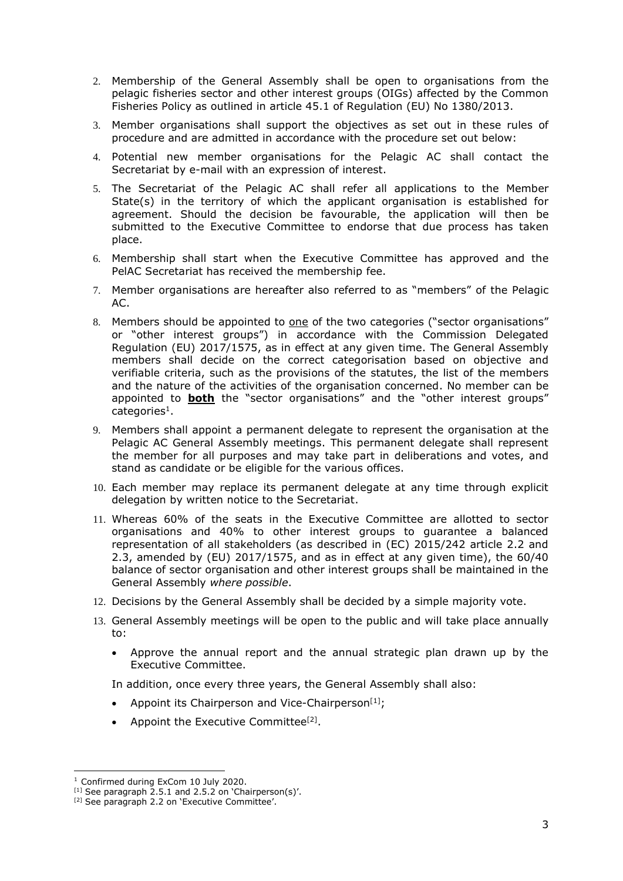- 2. Membership of the General Assembly shall be open to organisations from the pelagic fisheries sector and other interest groups (OIGs) affected by the Common Fisheries Policy as outlined in article 45.1 of Regulation (EU) No 1380/2013.
- 3. Member organisations shall support the objectives as set out in these rules of procedure and are admitted in accordance with the procedure set out below:
- 4. Potential new member organisations for the Pelagic AC shall contact the Secretariat by e-mail with an expression of interest.
- 5. The Secretariat of the Pelagic AC shall refer all applications to the Member State(s) in the territory of which the applicant organisation is established for agreement. Should the decision be favourable, the application will then be submitted to the Executive Committee to endorse that due process has taken place.
- 6. Membership shall start when the Executive Committee has approved and the PelAC Secretariat has received the membership fee.
- 7. Member organisations are hereafter also referred to as "members" of the Pelagic AC.
- 8. Members should be appointed to one of the two categories ("sector organisations" or "other interest groups") in accordance with the Commission Delegated Regulation (EU) 2017/1575, as in effect at any given time. The General Assembly members shall decide on the correct categorisation based on objective and verifiable criteria, such as the provisions of the statutes, the list of the members and the nature of the activities of the organisation concerned. No member can be appointed to **both** the "sector organisations" and the "other interest groups"  $categorical$ .
- 9. Members shall appoint a permanent delegate to represent the organisation at the Pelagic AC General Assembly meetings. This permanent delegate shall represent the member for all purposes and may take part in deliberations and votes, and stand as candidate or be eligible for the various offices.
- 10. Each member may replace its permanent delegate at any time through explicit delegation by written notice to the Secretariat.
- 11. Whereas 60% of the seats in the Executive Committee are allotted to sector organisations and 40% to other interest groups to guarantee a balanced representation of all stakeholders (as described in (EC) 2015/242 article 2.2 and 2.3, amended by (EU) 2017/1575, and as in effect at any given time), the 60/40 balance of sector organisation and other interest groups shall be maintained in the General Assembly *where possible*.
- 12. Decisions by the General Assembly shall be decided by a simple majority vote.
- 13. General Assembly meetings will be open to the public and will take place annually to:
	- Approve the annual report and the annual strategic plan drawn up by the Executive Committee.

In addition, once every three years, the General Assembly shall also:

- Appoint its Chairperson and Vice-Chairperson<sup>[1]</sup>;
- Appoint the Executive Committee<sup>[2]</sup>.

<sup>&</sup>lt;sup>1</sup> Confirmed during ExCom 10 July 2020.

 $[1]$  See paragraph 2.5.1 and 2.5.2 on 'Chairperson(s)'.

<sup>[2]</sup> See paragraph 2.2 on 'Executive Committee'.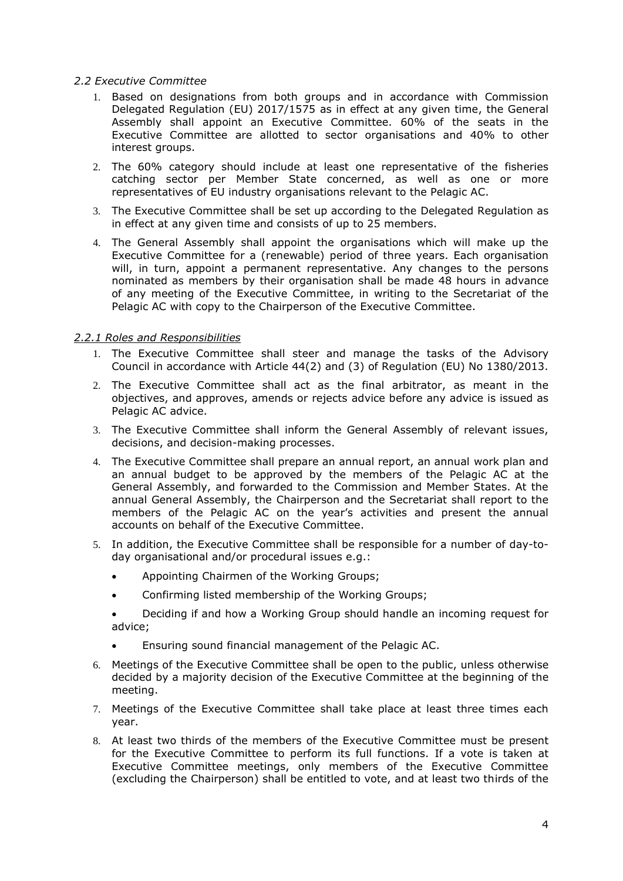## <span id="page-3-0"></span>*2.2 Executive Committee*

- 1. Based on designations from both groups and in accordance with Commission Delegated Regulation (EU) 2017/1575 as in effect at any given time, the General Assembly shall appoint an Executive Committee. 60% of the seats in the Executive Committee are allotted to sector organisations and 40% to other interest groups.
- 2. The 60% category should include at least one representative of the fisheries catching sector per Member State concerned, as well as one or more representatives of EU industry organisations relevant to the Pelagic AC.
- 3. The Executive Committee shall be set up according to the Delegated Regulation as in effect at any given time and consists of up to 25 members.
- 4. The General Assembly shall appoint the organisations which will make up the Executive Committee for a (renewable) period of three years. Each organisation will, in turn, appoint a permanent representative. Any changes to the persons nominated as members by their organisation shall be made 48 hours in advance of any meeting of the Executive Committee, in writing to the Secretariat of the Pelagic AC with copy to the Chairperson of the Executive Committee.

## *2.2.1 Roles and Responsibilities*

- 1. The Executive Committee shall steer and manage the tasks of the Advisory Council in accordance with Article 44(2) and (3) of Regulation (EU) No 1380/2013.
- 2. The Executive Committee shall act as the final arbitrator, as meant in the objectives, and approves, amends or rejects advice before any advice is issued as Pelagic AC advice.
- 3. The Executive Committee shall inform the General Assembly of relevant issues, decisions, and decision-making processes.
- 4. The Executive Committee shall prepare an annual report, an annual work plan and an annual budget to be approved by the members of the Pelagic AC at the General Assembly, and forwarded to the Commission and Member States. At the annual General Assembly, the Chairperson and the Secretariat shall report to the members of the Pelagic AC on the year's activities and present the annual accounts on behalf of the Executive Committee.
- 5. In addition, the Executive Committee shall be responsible for a number of day-today organisational and/or procedural issues e.g.:
	- Appointing Chairmen of the Working Groups;
	- Confirming listed membership of the Working Groups;
	- Deciding if and how a Working Group should handle an incoming request for advice;
	- Ensuring sound financial management of the Pelagic AC.
- 6. Meetings of the Executive Committee shall be open to the public, unless otherwise decided by a majority decision of the Executive Committee at the beginning of the meeting.
- 7. Meetings of the Executive Committee shall take place at least three times each year.
- 8. At least two thirds of the members of the Executive Committee must be present for the Executive Committee to perform its full functions. If a vote is taken at Executive Committee meetings, only members of the Executive Committee (excluding the Chairperson) shall be entitled to vote, and at least two thirds of the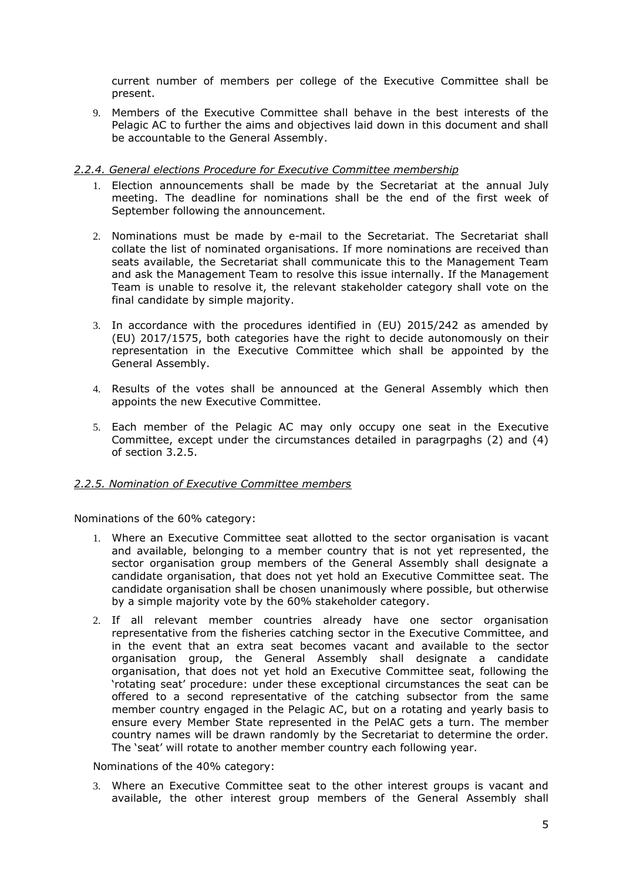current number of members per college of the Executive Committee shall be present.

9. Members of the Executive Committee shall behave in the best interests of the Pelagic AC to further the aims and objectives laid down in this document and shall be accountable to the General Assembly.

### *2.2.4. General elections Procedure for Executive Committee membership*

- 1. Election announcements shall be made by the Secretariat at the annual July meeting. The deadline for nominations shall be the end of the first week of September following the announcement.
- 2. Nominations must be made by e-mail to the Secretariat. The Secretariat shall collate the list of nominated organisations. If more nominations are received than seats available, the Secretariat shall communicate this to the Management Team and ask the Management Team to resolve this issue internally. If the Management Team is unable to resolve it, the relevant stakeholder category shall vote on the final candidate by simple majority.
- 3. In accordance with the procedures identified in (EU) 2015/242 as amended by (EU) 2017/1575, both categories have the right to decide autonomously on their representation in the Executive Committee which shall be appointed by the General Assembly.
- 4. Results of the votes shall be announced at the General Assembly which then appoints the new Executive Committee.
- 5. Each member of the Pelagic AC may only occupy one seat in the Executive Committee, except under the circumstances detailed in paragrpaghs (2) and (4) of section 3.2.5.

#### *2.2.5. Nomination of Executive Committee members*

Nominations of the 60% category:

- 1. Where an Executive Committee seat allotted to the sector organisation is vacant and available, belonging to a member country that is not yet represented, the sector organisation group members of the General Assembly shall designate a candidate organisation, that does not yet hold an Executive Committee seat. The candidate organisation shall be chosen unanimously where possible, but otherwise by a simple majority vote by the 60% stakeholder category.
- 2. If all relevant member countries already have one sector organisation representative from the fisheries catching sector in the Executive Committee, and in the event that an extra seat becomes vacant and available to the sector organisation group, the General Assembly shall designate a candidate organisation, that does not yet hold an Executive Committee seat, following the 'rotating seat' procedure: under these exceptional circumstances the seat can be offered to a second representative of the catching subsector from the same member country engaged in the Pelagic AC, but on a rotating and yearly basis to ensure every Member State represented in the PelAC gets a turn. The member country names will be drawn randomly by the Secretariat to determine the order. The 'seat' will rotate to another member country each following year.

Nominations of the 40% category:

3. Where an Executive Committee seat to the other interest groups is vacant and available, the other interest group members of the General Assembly shall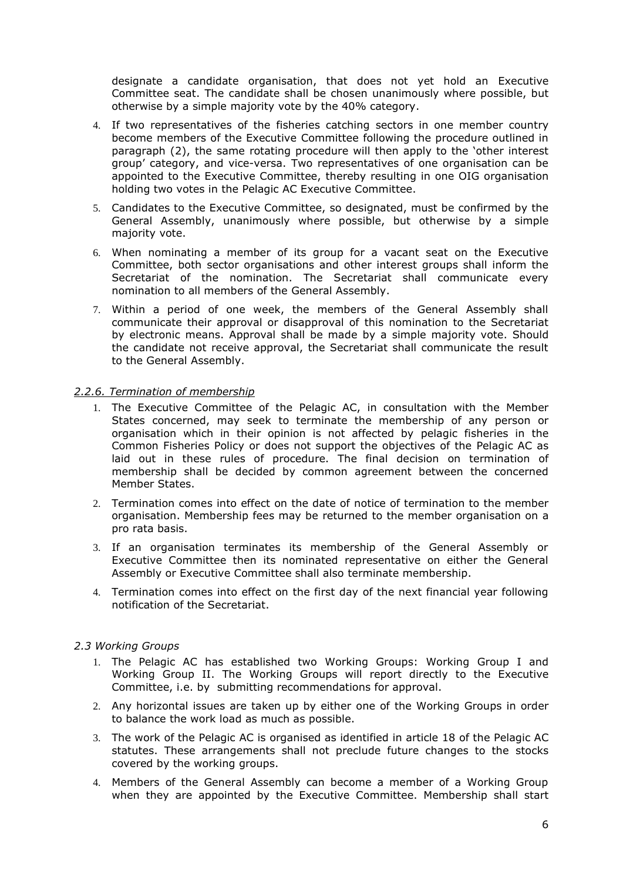designate a candidate organisation, that does not yet hold an Executive Committee seat. The candidate shall be chosen unanimously where possible, but otherwise by a simple majority vote by the 40% category.

- 4. If two representatives of the fisheries catching sectors in one member country become members of the Executive Committee following the procedure outlined in paragraph (2), the same rotating procedure will then apply to the 'other interest group' category, and vice-versa. Two representatives of one organisation can be appointed to the Executive Committee, thereby resulting in one OIG organisation holding two votes in the Pelagic AC Executive Committee.
- 5. Candidates to the Executive Committee, so designated, must be confirmed by the General Assembly, unanimously where possible, but otherwise by a simple majority vote.
- 6. When nominating a member of its group for a vacant seat on the Executive Committee, both sector organisations and other interest groups shall inform the Secretariat of the nomination. The Secretariat shall communicate every nomination to all members of the General Assembly.
- 7. Within a period of one week, the members of the General Assembly shall communicate their approval or disapproval of this nomination to the Secretariat by electronic means. Approval shall be made by a simple majority vote. Should the candidate not receive approval, the Secretariat shall communicate the result to the General Assembly.

## *2.2.6. Termination of membership*

- 1. The Executive Committee of the Pelagic AC, in consultation with the Member States concerned, may seek to terminate the membership of any person or organisation which in their opinion is not affected by pelagic fisheries in the Common Fisheries Policy or does not support the objectives of the Pelagic AC as laid out in these rules of procedure. The final decision on termination of membership shall be decided by common agreement between the concerned Member States.
- 2. Termination comes into effect on the date of notice of termination to the member organisation. Membership fees may be returned to the member organisation on a pro rata basis.
- 3. If an organisation terminates its membership of the General Assembly or Executive Committee then its nominated representative on either the General Assembly or Executive Committee shall also terminate membership.
- 4. Termination comes into effect on the first day of the next financial year following notification of the Secretariat.

## <span id="page-5-0"></span>*2.3 Working Groups*

- 1. The Pelagic AC has established two Working Groups: Working Group I and Working Group II. The Working Groups will report directly to the Executive Committee, i.e. by submitting recommendations for approval.
- 2. Any horizontal issues are taken up by either one of the Working Groups in order to balance the work load as much as possible.
- 3. The work of the Pelagic AC is organised as identified in article 18 of the Pelagic AC statutes. These arrangements shall not preclude future changes to the stocks covered by the working groups.
- 4. Members of the General Assembly can become a member of a Working Group when they are appointed by the Executive Committee. Membership shall start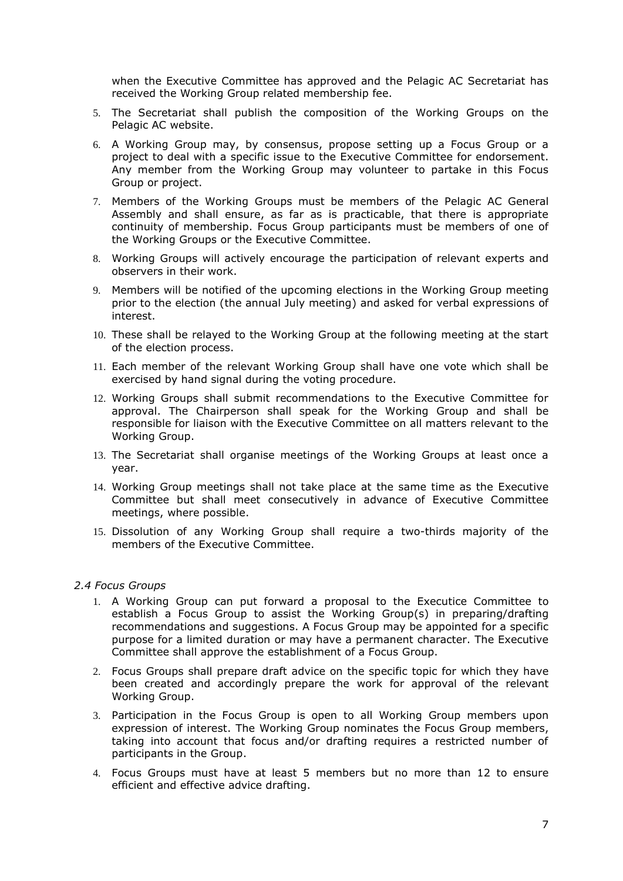when the Executive Committee has approved and the Pelagic AC Secretariat has received the Working Group related membership fee.

- 5. The Secretariat shall publish the composition of the Working Groups on the Pelagic AC website.
- 6. A Working Group may, by consensus, propose setting up a Focus Group or a project to deal with a specific issue to the Executive Committee for endorsement. Any member from the Working Group may volunteer to partake in this Focus Group or project.
- 7. Members of the Working Groups must be members of the Pelagic AC General Assembly and shall ensure, as far as is practicable, that there is appropriate continuity of membership. Focus Group participants must be members of one of the Working Groups or the Executive Committee.
- 8. Working Groups will actively encourage the participation of relevant experts and observers in their work.
- 9. Members will be notified of the upcoming elections in the Working Group meeting prior to the election (the annual July meeting) and asked for verbal expressions of interest.
- 10. These shall be relayed to the Working Group at the following meeting at the start of the election process.
- 11. Each member of the relevant Working Group shall have one vote which shall be exercised by hand signal during the voting procedure.
- 12. Working Groups shall submit recommendations to the Executive Committee for approval. The Chairperson shall speak for the Working Group and shall be responsible for liaison with the Executive Committee on all matters relevant to the Working Group.
- 13. The Secretariat shall organise meetings of the Working Groups at least once a year.
- 14. Working Group meetings shall not take place at the same time as the Executive Committee but shall meet consecutively in advance of Executive Committee meetings, where possible.
- 15. Dissolution of any Working Group shall require a two-thirds majority of the members of the Executive Committee.

#### <span id="page-6-0"></span>*2.4 Focus Groups*

- 1. A Working Group can put forward a proposal to the Executice Committee to establish a Focus Group to assist the Working Group(s) in preparing/drafting recommendations and suggestions. A Focus Group may be appointed for a specific purpose for a limited duration or may have a permanent character. The Executive Committee shall approve the establishment of a Focus Group.
- 2. Focus Groups shall prepare draft advice on the specific topic for which they have been created and accordingly prepare the work for approval of the relevant Working Group.
- 3. Participation in the Focus Group is open to all Working Group members upon expression of interest. The Working Group nominates the Focus Group members, taking into account that focus and/or drafting requires a restricted number of participants in the Group.
- 4. Focus Groups must have at least 5 members but no more than 12 to ensure efficient and effective advice drafting.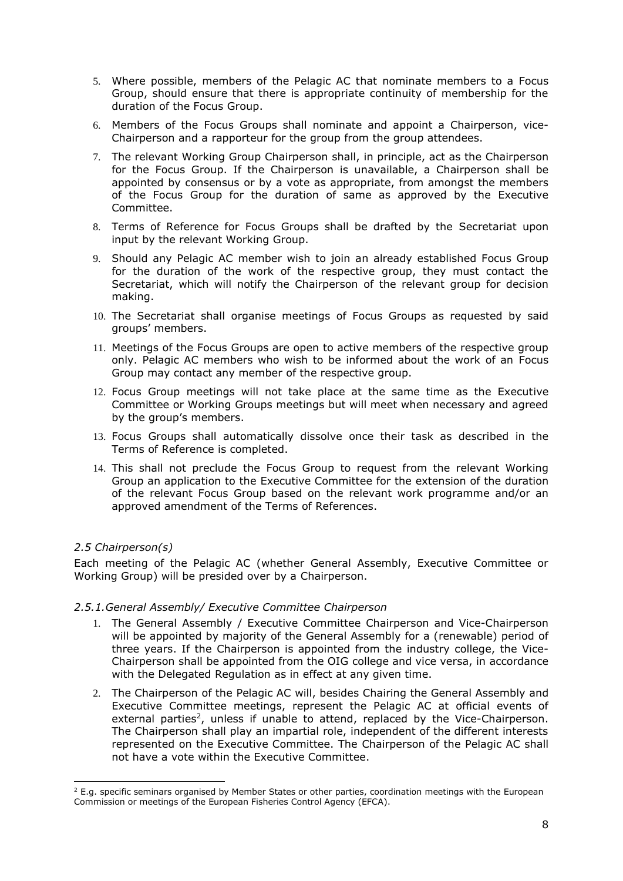- 5. Where possible, members of the Pelagic AC that nominate members to a Focus Group, should ensure that there is appropriate continuity of membership for the duration of the Focus Group.
- 6. Members of the Focus Groups shall nominate and appoint a Chairperson, vice-Chairperson and a rapporteur for the group from the group attendees.
- 7. The relevant Working Group Chairperson shall, in principle, act as the Chairperson for the Focus Group. If the Chairperson is unavailable, a Chairperson shall be appointed by consensus or by a vote as appropriate, from amongst the members of the Focus Group for the duration of same as approved by the Executive Committee.
- 8. Terms of Reference for Focus Groups shall be drafted by the Secretariat upon input by the relevant Working Group.
- 9. Should any Pelagic AC member wish to join an already established Focus Group for the duration of the work of the respective group, they must contact the Secretariat, which will notify the Chairperson of the relevant group for decision making.
- 10. The Secretariat shall organise meetings of Focus Groups as requested by said groups' members.
- 11. Meetings of the Focus Groups are open to active members of the respective group only. Pelagic AC members who wish to be informed about the work of an Focus Group may contact any member of the respective group.
- 12. Focus Group meetings will not take place at the same time as the Executive Committee or Working Groups meetings but will meet when necessary and agreed by the group's members.
- 13. Focus Groups shall automatically dissolve once their task as described in the Terms of Reference is completed.
- 14. This shall not preclude the Focus Group to request from the relevant Working Group an application to the Executive Committee for the extension of the duration of the relevant Focus Group based on the relevant work programme and/or an approved amendment of the Terms of References.

## <span id="page-7-0"></span>*2.5 Chairperson(s)*

Each meeting of the Pelagic AC (whether General Assembly, Executive Committee or Working Group) will be presided over by a Chairperson.

#### *2.5.1.General Assembly/ Executive Committee Chairperson*

- 1. The General Assembly / Executive Committee Chairperson and Vice-Chairperson will be appointed by majority of the General Assembly for a (renewable) period of three years. If the Chairperson is appointed from the industry college, the Vice-Chairperson shall be appointed from the OIG college and vice versa, in accordance with the Delegated Regulation as in effect at any given time.
- 2. The Chairperson of the Pelagic AC will, besides Chairing the General Assembly and Executive Committee meetings, represent the Pelagic AC at official events of external parties<sup>2</sup>, unless if unable to attend, replaced by the Vice-Chairperson. The Chairperson shall play an impartial role, independent of the different interests represented on the Executive Committee. The Chairperson of the Pelagic AC shall not have a vote within the Executive Committee.

<sup>&</sup>lt;sup>2</sup> E.g. specific seminars organised by Member States or other parties, coordination meetings with the European Commission or meetings of the European Fisheries Control Agency (EFCA).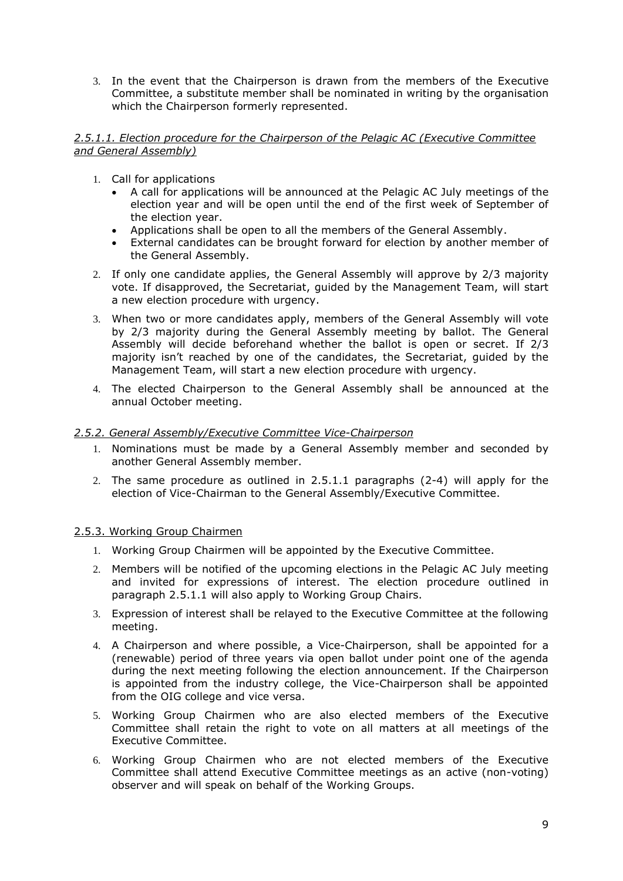3. In the event that the Chairperson is drawn from the members of the Executive Committee, a substitute member shall be nominated in writing by the organisation which the Chairperson formerly represented.

#### *2.5.1.1. Election procedure for the Chairperson of the Pelagic AC (Executive Committee and General Assembly)*

- 1. Call for applications
	- A call for applications will be announced at the Pelagic AC July meetings of the election year and will be open until the end of the first week of September of the election year.
	- Applications shall be open to all the members of the General Assembly.
	- External candidates can be brought forward for election by another member of the General Assembly.
- 2. If only one candidate applies, the General Assembly will approve by 2/3 majority vote. If disapproved, the Secretariat, guided by the Management Team, will start a new election procedure with urgency.
- 3. When two or more candidates apply, members of the General Assembly will vote by 2/3 majority during the General Assembly meeting by ballot. The General Assembly will decide beforehand whether the ballot is open or secret. If 2/3 majority isn't reached by one of the candidates, the Secretariat, guided by the Management Team, will start a new election procedure with urgency.
- 4. The elected Chairperson to the General Assembly shall be announced at the annual October meeting.

# *2.5.2. General Assembly/Executive Committee Vice-Chairperson*

- 1. Nominations must be made by a General Assembly member and seconded by another General Assembly member.
- 2. The same procedure as outlined in 2.5.1.1 paragraphs (2-4) will apply for the election of Vice-Chairman to the General Assembly/Executive Committee.

## 2.5.3. Working Group Chairmen

- 1. Working Group Chairmen will be appointed by the Executive Committee.
- 2. Members will be notified of the upcoming elections in the Pelagic AC July meeting and invited for expressions of interest. The election procedure outlined in paragraph 2.5.1.1 will also apply to Working Group Chairs.
- 3. Expression of interest shall be relayed to the Executive Committee at the following meeting.
- 4. A Chairperson and where possible, a Vice-Chairperson, shall be appointed for a (renewable) period of three years via open ballot under point one of the agenda during the next meeting following the election announcement. If the Chairperson is appointed from the industry college, the Vice-Chairperson shall be appointed from the OIG college and vice versa.
- 5. Working Group Chairmen who are also elected members of the Executive Committee shall retain the right to vote on all matters at all meetings of the Executive Committee.
- 6. Working Group Chairmen who are not elected members of the Executive Committee shall attend Executive Committee meetings as an active (non-voting) observer and will speak on behalf of the Working Groups.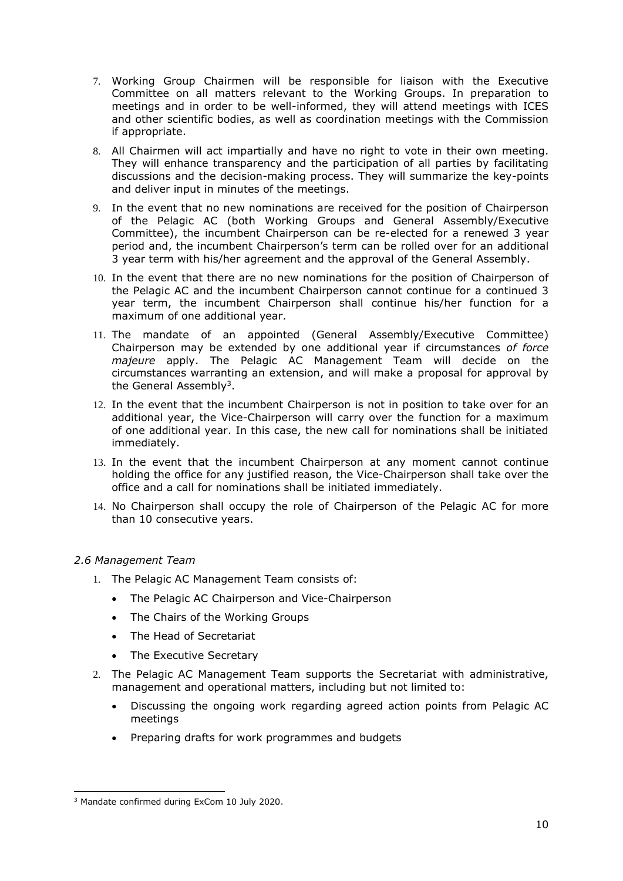- 7. Working Group Chairmen will be responsible for liaison with the Executive Committee on all matters relevant to the Working Groups. In preparation to meetings and in order to be well-informed, they will attend meetings with ICES and other scientific bodies, as well as coordination meetings with the Commission if appropriate.
- 8. All Chairmen will act impartially and have no right to vote in their own meeting. They will enhance transparency and the participation of all parties by facilitating discussions and the decision-making process. They will summarize the key-points and deliver input in minutes of the meetings.
- 9. In the event that no new nominations are received for the position of Chairperson of the Pelagic AC (both Working Groups and General Assembly/Executive Committee), the incumbent Chairperson can be re-elected for a renewed 3 year period and, the incumbent Chairperson's term can be rolled over for an additional 3 year term with his/her agreement and the approval of the General Assembly.
- 10. In the event that there are no new nominations for the position of Chairperson of the Pelagic AC and the incumbent Chairperson cannot continue for a continued 3 year term, the incumbent Chairperson shall continue his/her function for a maximum of one additional year.
- 11. The mandate of an appointed (General Assembly/Executive Committee) Chairperson may be extended by one additional year if circumstances *of force majeure* apply. The Pelagic AC Management Team will decide on the circumstances warranting an extension, and will make a proposal for approval by the General Assembly<sup>3</sup>.
- 12. In the event that the incumbent Chairperson is not in position to take over for an additional year, the Vice-Chairperson will carry over the function for a maximum of one additional year. In this case, the new call for nominations shall be initiated immediately.
- 13. In the event that the incumbent Chairperson at any moment cannot continue holding the office for any justified reason, the Vice-Chairperson shall take over the office and a call for nominations shall be initiated immediately.
- 14. No Chairperson shall occupy the role of Chairperson of the Pelagic AC for more than 10 consecutive years.

## <span id="page-9-0"></span>*2.6 Management Team*

- 1. The Pelagic AC Management Team consists of:
	- The Pelagic AC Chairperson and Vice-Chairperson
	- The Chairs of the Working Groups
	- The Head of Secretariat
	- The Executive Secretary
- 2. The Pelagic AC Management Team supports the Secretariat with administrative, management and operational matters, including but not limited to:
	- Discussing the ongoing work regarding agreed action points from Pelagic AC meetings
	- Preparing drafts for work programmes and budgets

<sup>3</sup> Mandate confirmed during ExCom 10 July 2020.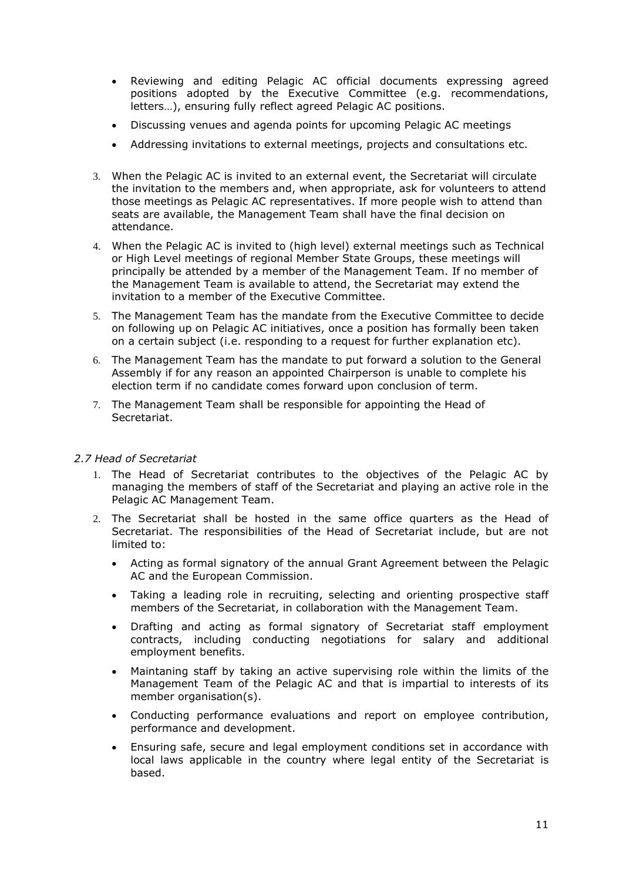- Reviewing and editing Pelagic AC official documents expressing agreed positions adopted by the Executive Committee (e.g. recommendations, letters…), ensuring fully reflect agreed Pelagic AC positions.
- Discussing venues and agenda points for upcoming Pelagic AC meetings
- Addressing invitations to external meetings, projects and consultations etc.
- 3. When the Pelagic AC is invited to an external event, the Secretariat will circulate the invitation to the members and, when appropriate, ask for volunteers to attend those meetings as Pelagic AC representatives. If more people wish to attend than seats are available, the Management Team shall have the final decision on attendance.
- 4. When the Pelagic AC is invited to (high level) external meetings such as Technical or High Level meetings of regional Member State Groups, these meetings will principally be attended by a member of the Management Team. If no member of the Management Team is available to attend, the Secretariat may extend the invitation to a member of the Executive Committee.
- 5. The Management Team has the mandate from the Executive Committee to decide on following up on Pelagic AC initiatives, once a position has formally been taken on a certain subject (i.e. responding to a request for further explanation etc).
- 6. The Management Team has the mandate to put forward a solution to the General Assembly if for any reason an appointed Chairperson is unable to complete his election term if no candidate comes forward upon conclusion of term.
- 7. The Management Team shall be responsible for appointing the Head of Secretariat.

#### <span id="page-10-0"></span>*2.7 Head of Secretariat*

- 1. The Head of Secretariat contributes to the objectives of the Pelagic AC by managing the members of staff of the Secretariat and playing an active role in the Pelagic AC Management Team.
- 2. The Secretariat shall be hosted in the same office quarters as the Head of Secretariat. The responsibilities of the Head of Secretariat include, but are not limited to:
	- Acting as formal signatory of the annual Grant Agreement between the Pelagic AC and the European Commission.
	- Taking a leading role in recruiting, selecting and orienting prospective staff members of the Secretariat, in collaboration with the Management Team.
	- Drafting and acting as formal signatory of Secretariat staff employment contracts, including conducting negotiations for salary and additional employment benefits.
	- Maintaning staff by taking an active supervising role within the limits of the Management Team of the Pelagic AC and that is impartial to interests of its member organisation(s).
	- Conducting performance evaluations and report on employee contribution, performance and development.
	- Ensuring safe, secure and legal employment conditions set in accordance with local laws applicable in the country where legal entity of the Secretariat is based.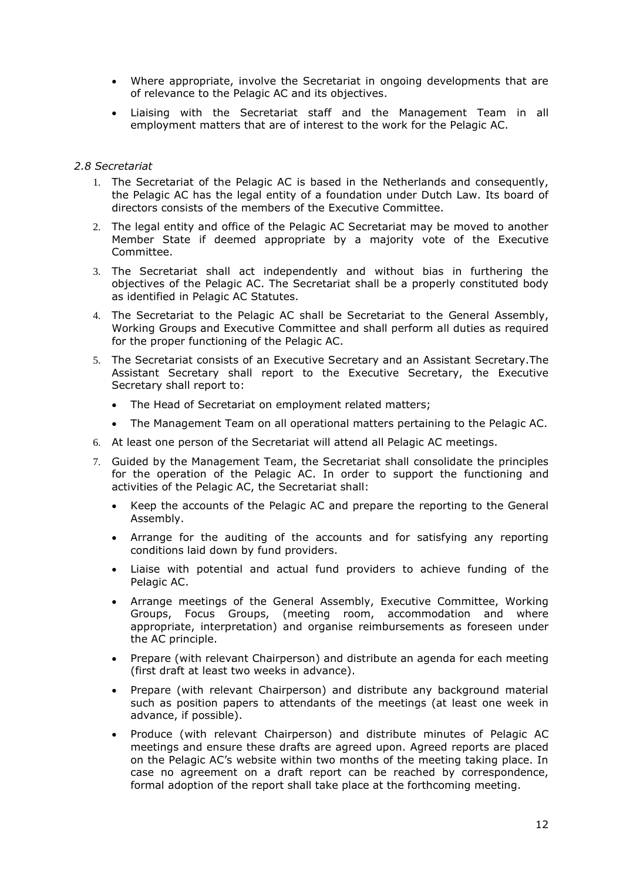- Where appropriate, involve the Secretariat in ongoing developments that are of relevance to the Pelagic AC and its objectives.
- Liaising with the Secretariat staff and the Management Team in all employment matters that are of interest to the work for the Pelagic AC.

#### <span id="page-11-0"></span>*2.8 Secretariat*

- 1. The Secretariat of the Pelagic AC is based in the Netherlands and consequently, the Pelagic AC has the legal entity of a foundation under Dutch Law. Its board of directors consists of the members of the Executive Committee.
- 2. The legal entity and office of the Pelagic AC Secretariat may be moved to another Member State if deemed appropriate by a majority vote of the Executive Committee.
- 3. The Secretariat shall act independently and without bias in furthering the objectives of the Pelagic AC. The Secretariat shall be a properly constituted body as identified in Pelagic AC Statutes.
- 4. The Secretariat to the Pelagic AC shall be Secretariat to the General Assembly, Working Groups and Executive Committee and shall perform all duties as required for the proper functioning of the Pelagic AC.
- 5. The Secretariat consists of an Executive Secretary and an Assistant Secretary.The Assistant Secretary shall report to the Executive Secretary, the Executive Secretary shall report to:
	- The Head of Secretariat on employment related matters;
	- The Management Team on all operational matters pertaining to the Pelagic AC.
- 6. At least one person of the Secretariat will attend all Pelagic AC meetings.
- 7. Guided by the Management Team, the Secretariat shall consolidate the principles for the operation of the Pelagic AC. In order to support the functioning and activities of the Pelagic AC, the Secretariat shall:
	- Keep the accounts of the Pelagic AC and prepare the reporting to the General Assembly.
	- Arrange for the auditing of the accounts and for satisfying any reporting conditions laid down by fund providers.
	- Liaise with potential and actual fund providers to achieve funding of the Pelagic AC.
	- Arrange meetings of the General Assembly, Executive Committee, Working Groups, Focus Groups, (meeting room, accommodation and where appropriate, interpretation) and organise reimbursements as foreseen under the AC principle.
	- Prepare (with relevant Chairperson) and distribute an agenda for each meeting (first draft at least two weeks in advance).
	- Prepare (with relevant Chairperson) and distribute any background material such as position papers to attendants of the meetings (at least one week in advance, if possible).
	- Produce (with relevant Chairperson) and distribute minutes of Pelagic AC meetings and ensure these drafts are agreed upon. Agreed reports are placed on the Pelagic AC's website within two months of the meeting taking place. In case no agreement on a draft report can be reached by correspondence, formal adoption of the report shall take place at the forthcoming meeting.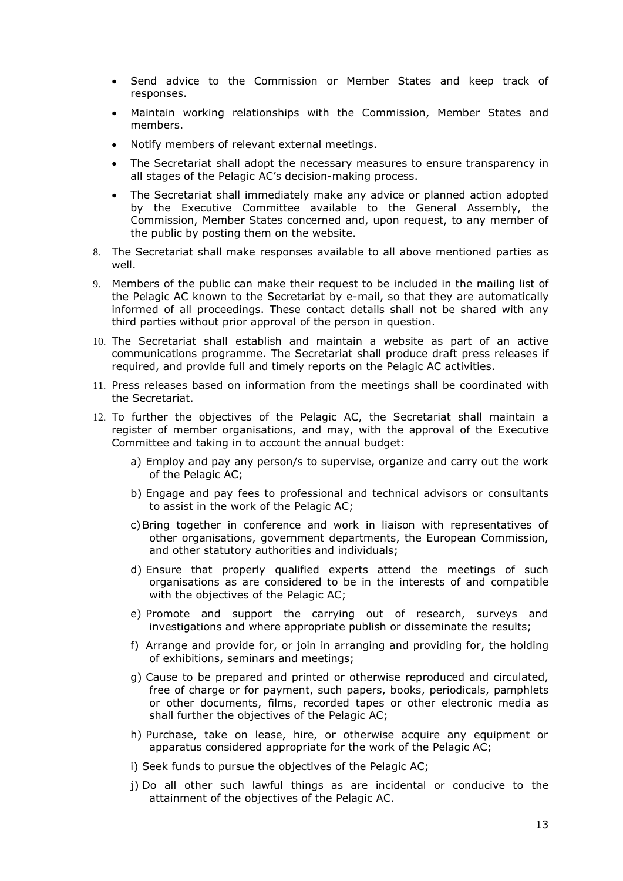- Send advice to the Commission or Member States and keep track of responses.
- Maintain working relationships with the Commission, Member States and members.
- Notify members of relevant external meetings.
- The Secretariat shall adopt the necessary measures to ensure transparency in all stages of the Pelagic AC's decision-making process.
- The Secretariat shall immediately make any advice or planned action adopted by the Executive Committee available to the General Assembly, the Commission, Member States concerned and, upon request, to any member of the public by posting them on the website.
- 8. The Secretariat shall make responses available to all above mentioned parties as well.
- 9. Members of the public can make their request to be included in the mailing list of the Pelagic AC known to the Secretariat by e-mail, so that they are automatically informed of all proceedings. These contact details shall not be shared with any third parties without prior approval of the person in question.
- 10. The Secretariat shall establish and maintain a website as part of an active communications programme. The Secretariat shall produce draft press releases if required, and provide full and timely reports on the Pelagic AC activities.
- 11. Press releases based on information from the meetings shall be coordinated with the Secretariat.
- 12. To further the objectives of the Pelagic AC, the Secretariat shall maintain a register of member organisations, and may, with the approval of the Executive Committee and taking in to account the annual budget:
	- a) Employ and pay any person/s to supervise, organize and carry out the work of the Pelagic AC;
	- b) Engage and pay fees to professional and technical advisors or consultants to assist in the work of the Pelagic AC;
	- c)Bring together in conference and work in liaison with representatives of other organisations, government departments, the European Commission, and other statutory authorities and individuals;
	- d) Ensure that properly qualified experts attend the meetings of such organisations as are considered to be in the interests of and compatible with the objectives of the Pelagic AC;
	- e) Promote and support the carrying out of research, surveys and investigations and where appropriate publish or disseminate the results;
	- f) Arrange and provide for, or join in arranging and providing for, the holding of exhibitions, seminars and meetings;
	- g) Cause to be prepared and printed or otherwise reproduced and circulated, free of charge or for payment, such papers, books, periodicals, pamphlets or other documents, films, recorded tapes or other electronic media as shall further the objectives of the Pelagic AC;
	- h) Purchase, take on lease, hire, or otherwise acquire any equipment or apparatus considered appropriate for the work of the Pelagic AC;
	- i) Seek funds to pursue the objectives of the Pelagic AC;
	- j) Do all other such lawful things as are incidental or conducive to the attainment of the objectives of the Pelagic AC.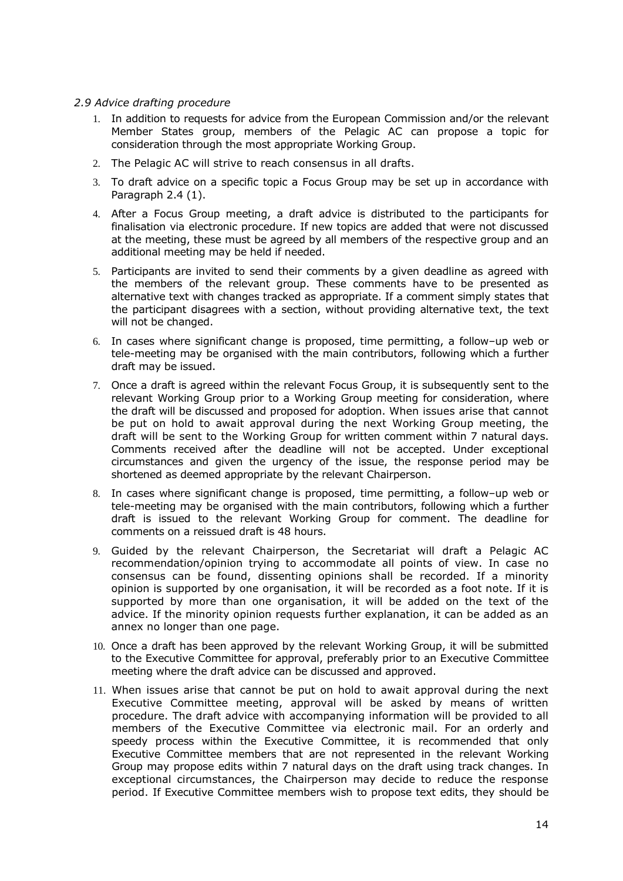#### <span id="page-13-0"></span>*2.9 Advice drafting procedure*

- 1. In addition to requests for advice from the European Commission and/or the relevant Member States group, members of the Pelagic AC can propose a topic for consideration through the most appropriate Working Group.
- 2. The Pelagic AC will strive to reach consensus in all drafts.
- 3. To draft advice on a specific topic a Focus Group may be set up in accordance with Paragraph 2.4 (1).
- 4. After a Focus Group meeting, a draft advice is distributed to the participants for finalisation via electronic procedure. If new topics are added that were not discussed at the meeting, these must be agreed by all members of the respective group and an additional meeting may be held if needed.
- 5. Participants are invited to send their comments by a given deadline as agreed with the members of the relevant group. These comments have to be presented as alternative text with changes tracked as appropriate. If a comment simply states that the participant disagrees with a section, without providing alternative text, the text will not be changed.
- 6. In cases where significant change is proposed, time permitting, a follow–up web or tele-meeting may be organised with the main contributors, following which a further draft may be issued.
- 7. Once a draft is agreed within the relevant Focus Group, it is subsequently sent to the relevant Working Group prior to a Working Group meeting for consideration, where the draft will be discussed and proposed for adoption. When issues arise that cannot be put on hold to await approval during the next Working Group meeting, the draft will be sent to the Working Group for written comment within 7 natural days. Comments received after the deadline will not be accepted. Under exceptional circumstances and given the urgency of the issue, the response period may be shortened as deemed appropriate by the relevant Chairperson.
- 8. In cases where significant change is proposed, time permitting, a follow–up web or tele-meeting may be organised with the main contributors, following which a further draft is issued to the relevant Working Group for comment. The deadline for comments on a reissued draft is 48 hours.
- 9. Guided by the relevant Chairperson, the Secretariat will draft a Pelagic AC recommendation/opinion trying to accommodate all points of view. In case no consensus can be found, dissenting opinions shall be recorded. If a minority opinion is supported by one organisation, it will be recorded as a foot note. If it is supported by more than one organisation, it will be added on the text of the advice. If the minority opinion requests further explanation, it can be added as an annex no longer than one page.
- 10. Once a draft has been approved by the relevant Working Group, it will be submitted to the Executive Committee for approval, preferably prior to an Executive Committee meeting where the draft advice can be discussed and approved.
- 11. When issues arise that cannot be put on hold to await approval during the next Executive Committee meeting, approval will be asked by means of written procedure. The draft advice with accompanying information will be provided to all members of the Executive Committee via electronic mail. For an orderly and speedy process within the Executive Committee, it is recommended that only Executive Committee members that are not represented in the relevant Working Group may propose edits within 7 natural days on the draft using track changes. In exceptional circumstances, the Chairperson may decide to reduce the response period. If Executive Committee members wish to propose text edits, they should be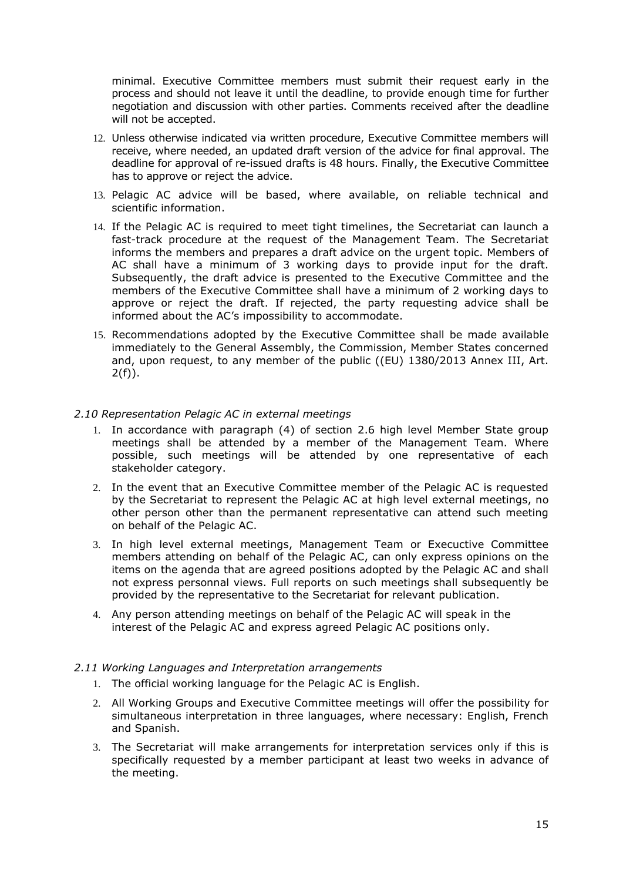minimal. Executive Committee members must submit their request early in the process and should not leave it until the deadline, to provide enough time for further negotiation and discussion with other parties. Comments received after the deadline will not be accepted.

- 12. Unless otherwise indicated via written procedure, Executive Committee members will receive, where needed, an updated draft version of the advice for final approval. The deadline for approval of re-issued drafts is 48 hours. Finally, the Executive Committee has to approve or reject the advice.
- 13. Pelagic AC advice will be based, where available, on reliable technical and scientific information.
- 14. If the Pelagic AC is required to meet tight timelines, the Secretariat can launch a fast-track procedure at the request of the Management Team. The Secretariat informs the members and prepares a draft advice on the urgent topic. Members of AC shall have a minimum of 3 working days to provide input for the draft. Subsequently, the draft advice is presented to the Executive Committee and the members of the Executive Committee shall have a minimum of 2 working days to approve or reject the draft. If rejected, the party requesting advice shall be informed about the AC's impossibility to accommodate.
- 15. Recommendations adopted by the Executive Committee shall be made available immediately to the General Assembly, the Commission, Member States concerned and, upon request, to any member of the public ((EU) 1380/2013 Annex III, Art.  $2(f)$ ).

#### <span id="page-14-0"></span>*2.10 Representation Pelagic AC in external meetings*

- 1. In accordance with paragraph (4) of section 2.6 high level Member State group meetings shall be attended by a member of the Management Team. Where possible, such meetings will be attended by one representative of each stakeholder category.
- 2. In the event that an Executive Committee member of the Pelagic AC is requested by the Secretariat to represent the Pelagic AC at high level external meetings, no other person other than the permanent representative can attend such meeting on behalf of the Pelagic AC.
- 3. In high level external meetings, Management Team or Execuctive Committee members attending on behalf of the Pelagic AC, can only express opinions on the items on the agenda that are agreed positions adopted by the Pelagic AC and shall not express personnal views. Full reports on such meetings shall subsequently be provided by the representative to the Secretariat for relevant publication.
- 4. Any person attending meetings on behalf of the Pelagic AC will speak in the interest of the Pelagic AC and express agreed Pelagic AC positions only.

#### <span id="page-14-1"></span>*2.11 Working Languages and Interpretation arrangements*

- 1. The official working language for the Pelagic AC is English.
- 2. All Working Groups and Executive Committee meetings will offer the possibility for simultaneous interpretation in three languages, where necessary: English, French and Spanish.
- 3. The Secretariat will make arrangements for interpretation services only if this is specifically requested by a member participant at least two weeks in advance of the meeting.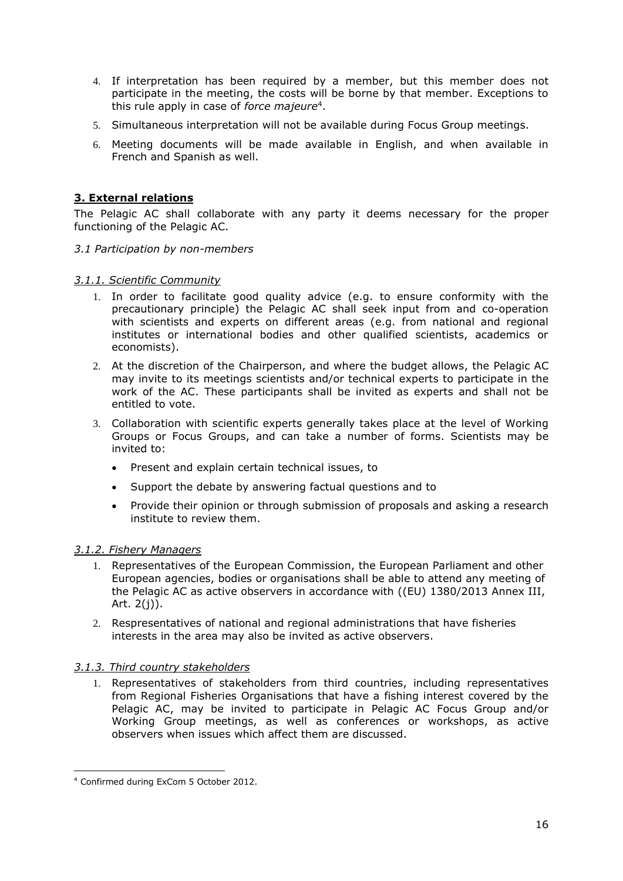- 4. If interpretation has been required by a member, but this member does not participate in the meeting, the costs will be borne by that member. Exceptions to this rule apply in case of *force majeure*<sup>4</sup> .
- 5. Simultaneous interpretation will not be available during Focus Group meetings.
- 6. Meeting documents will be made available in English, and when available in French and Spanish as well.

# <span id="page-15-0"></span>**3. External relations**

The Pelagic AC shall collaborate with any party it deems necessary for the proper functioning of the Pelagic AC.

<span id="page-15-1"></span>*3.1 Participation by non-members*

## *3.1.1. Scientific Community*

- 1. In order to facilitate good quality advice (e.g. to ensure conformity with the precautionary principle) the Pelagic AC shall seek input from and co-operation with scientists and experts on different areas (e.g. from national and regional institutes or international bodies and other qualified scientists, academics or economists).
- 2. At the discretion of the Chairperson, and where the budget allows, the Pelagic AC may invite to its meetings scientists and/or technical experts to participate in the work of the AC. These participants shall be invited as experts and shall not be entitled to vote.
- 3. Collaboration with scientific experts generally takes place at the level of Working Groups or Focus Groups, and can take a number of forms. Scientists may be invited to:
	- Present and explain certain technical issues, to
	- Support the debate by answering factual questions and to
	- Provide their opinion or through submission of proposals and asking a research institute to review them.

#### *3.1.2. Fishery Managers*

- 1. Representatives of the European Commission, the European Parliament and other European agencies, bodies or organisations shall be able to attend any meeting of the Pelagic AC as active observers in accordance with ((EU) 1380/2013 Annex III, Art. 2(j)).
- 2. Respresentatives of national and regional administrations that have fisheries interests in the area may also be invited as active observers.

## *3.1.3. Third country stakeholders*

1. Representatives of stakeholders from third countries, including representatives from Regional Fisheries Organisations that have a fishing interest covered by the Pelagic AC, may be invited to participate in Pelagic AC Focus Group and/or Working Group meetings, as well as conferences or workshops, as active observers when issues which affect them are discussed.

<sup>4</sup> Confirmed during ExCom 5 October 2012.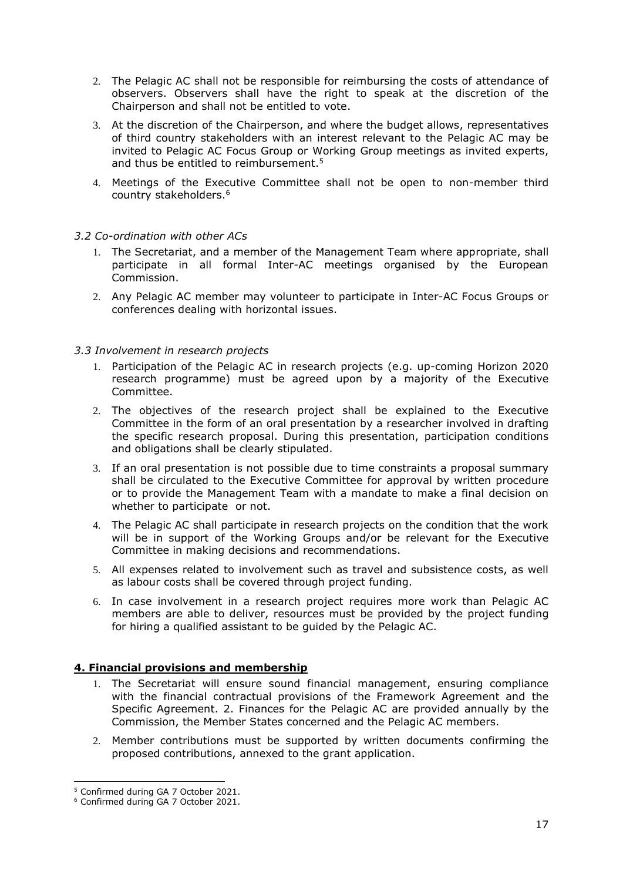- 2. The Pelagic AC shall not be responsible for reimbursing the costs of attendance of observers. Observers shall have the right to speak at the discretion of the Chairperson and shall not be entitled to vote.
- 3. At the discretion of the Chairperson, and where the budget allows, representatives of third country stakeholders with an interest relevant to the Pelagic AC may be invited to Pelagic AC Focus Group or Working Group meetings as invited experts, and thus be entitled to reimbursement. 5
- 4. Meetings of the Executive Committee shall not be open to non-member third country stakeholders.<sup>6</sup>

## <span id="page-16-0"></span>*3.2 Co-ordination with other ACs*

- 1. The Secretariat, and a member of the Management Team where appropriate, shall participate in all formal Inter-AC meetings organised by the European Commission.
- 2. Any Pelagic AC member may volunteer to participate in Inter-AC Focus Groups or conferences dealing with horizontal issues.

## <span id="page-16-1"></span>*3.3 Involvement in research projects*

- 1. Participation of the Pelagic AC in research projects (e.g. up-coming Horizon 2020 research programme) must be agreed upon by a majority of the Executive Committee.
- 2. The objectives of the research project shall be explained to the Executive Committee in the form of an oral presentation by a researcher involved in drafting the specific research proposal. During this presentation, participation conditions and obligations shall be clearly stipulated.
- 3. If an oral presentation is not possible due to time constraints a proposal summary shall be circulated to the Executive Committee for approval by written procedure or to provide the Management Team with a mandate to make a final decision on whether to participate or not.
- 4. The Pelagic AC shall participate in research projects on the condition that the work will be in support of the Working Groups and/or be relevant for the Executive Committee in making decisions and recommendations.
- 5. All expenses related to involvement such as travel and subsistence costs, as well as labour costs shall be covered through project funding.
- 6. In case involvement in a research project requires more work than Pelagic AC members are able to deliver, resources must be provided by the project funding for hiring a qualified assistant to be guided by the Pelagic AC.

## <span id="page-16-2"></span>**4. Financial provisions and membership**

- 1. The Secretariat will ensure sound financial management, ensuring compliance with the financial contractual provisions of the Framework Agreement and the Specific Agreement. 2. Finances for the Pelagic AC are provided annually by the Commission, the Member States concerned and the Pelagic AC members.
- 2. Member contributions must be supported by written documents confirming the proposed contributions, annexed to the grant application.

<sup>5</sup> Confirmed during GA 7 October 2021.

<sup>6</sup> Confirmed during GA 7 October 2021.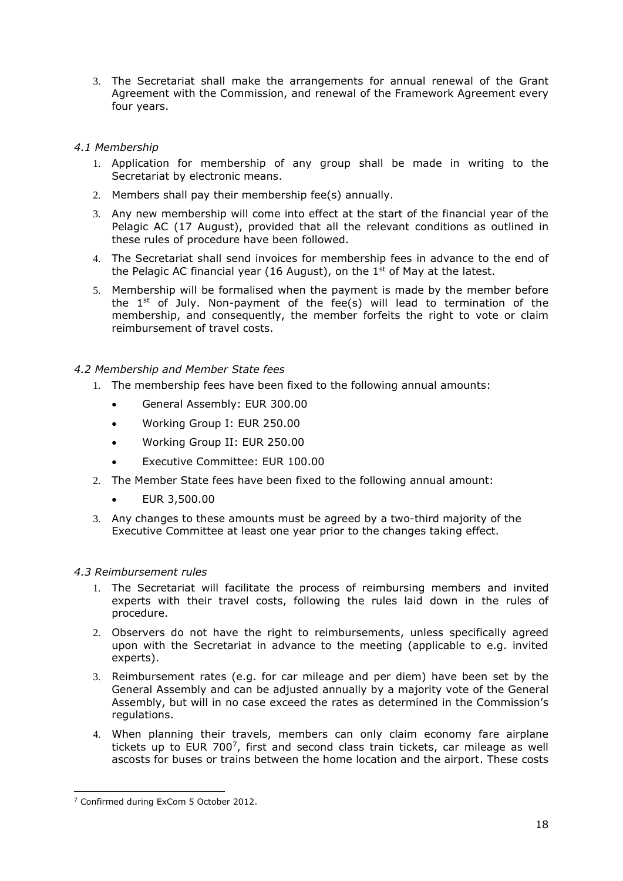3. The Secretariat shall make the arrangements for annual renewal of the Grant Agreement with the Commission, and renewal of the Framework Agreement every four years.

# <span id="page-17-0"></span>*4.1 Membership*

- 1. Application for membership of any group shall be made in writing to the Secretariat by electronic means.
- 2. Members shall pay their membership fee(s) annually.
- 3. Any new membership will come into effect at the start of the financial year of the Pelagic AC (17 August), provided that all the relevant conditions as outlined in these rules of procedure have been followed.
- 4. The Secretariat shall send invoices for membership fees in advance to the end of the Pelagic AC financial year (16 August), on the  $1<sup>st</sup>$  of May at the latest.
- 5. Membership will be formalised when the payment is made by the member before the 1st of July. Non-payment of the fee(s) will lead to termination of the membership, and consequently, the member forfeits the right to vote or claim reimbursement of travel costs.

## <span id="page-17-1"></span>*4.2 Membership and Member State fees*

- 1. The membership fees have been fixed to the following annual amounts:
	- General Assembly: EUR 300.00
	- Working Group I: EUR 250.00
	- Working Group II: EUR 250.00
	- Executive Committee: EUR 100.00
- 2. The Member State fees have been fixed to the following annual amount:
	- EUR 3,500.00
- 3. Any changes to these amounts must be agreed by a two-third majority of the Executive Committee at least one year prior to the changes taking effect.

## <span id="page-17-2"></span>*4.3 Reimbursement rules*

- 1. The Secretariat will facilitate the process of reimbursing members and invited experts with their travel costs, following the rules laid down in the rules of procedure.
- 2. Observers do not have the right to reimbursements, unless specifically agreed upon with the Secretariat in advance to the meeting (applicable to e.g. invited experts).
- 3. Reimbursement rates (e.g. for car mileage and per diem) have been set by the General Assembly and can be adjusted annually by a majority vote of the General Assembly, but will in no case exceed the rates as determined in the Commission's regulations.
- 4. When planning their travels, members can only claim economy fare airplane tickets up to EUR 700<sup>7</sup>, first and second class train tickets, car mileage as well ascosts for buses or trains between the home location and the airport. These costs

<sup>7</sup> Confirmed during ExCom 5 October 2012.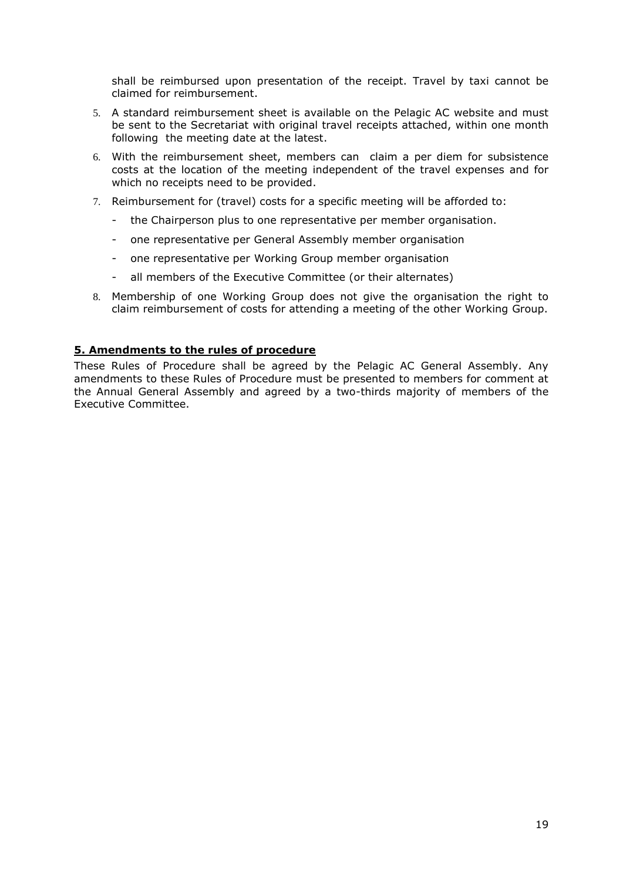shall be reimbursed upon presentation of the receipt. Travel by taxi cannot be claimed for reimbursement.

- 5. A standard reimbursement sheet is available on the Pelagic AC website and must be sent to the Secretariat with original travel receipts attached, within one month following the meeting date at the latest.
- 6. With the reimbursement sheet, members can claim a per diem for subsistence costs at the location of the meeting independent of the travel expenses and for which no receipts need to be provided.
- 7. Reimbursement for (travel) costs for a specific meeting will be afforded to:
	- the Chairperson plus to one representative per member organisation.
	- one representative per General Assembly member organisation
	- one representative per Working Group member organisation
	- all members of the Executive Committee (or their alternates)
- 8. Membership of one Working Group does not give the organisation the right to claim reimbursement of costs for attending a meeting of the other Working Group.

#### <span id="page-18-0"></span>**5. Amendments to the rules of procedure**

These Rules of Procedure shall be agreed by the Pelagic AC General Assembly. Any amendments to these Rules of Procedure must be presented to members for comment at the Annual General Assembly and agreed by a two-thirds majority of members of the Executive Committee.